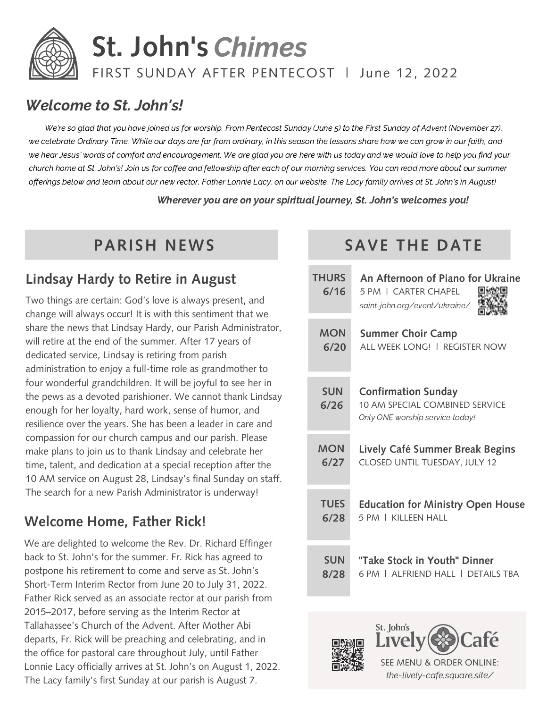

# Welcome to St. John's!

We're so glad that you have joined us for worship. From Pentecost Sunday (June 5) to the First Sunday of Advent (November 27), we celebrate Ordinary Time. While our days are far from ordinary, in this season the lessons share how we can grow in our faith, and we hear Jesus' words of comfort and encouragement. We are glad you are here with us today and we would love to help you find your church home at St. John's! Join us for coffee and fellowship after each of our morning services. You can read more about our summer offerings below and learn about our new rector, Father Lonnie Lacy, on our website. The Lacy family arrives at St. John's in August!

Wherever you are on your spiritual journey, St. John's welcomes you!

# **Lindsay Hardy to Retire in August**

Two things are certain: God's love is always present, and change will always occur! It is with this sentiment that we share the news that Lindsay Hardy, our Parish Administrator, will retire at the end of the summer. After 17 years of dedicated service, Lindsay is retiring from parish administration to enjoy a full-time role as grandmother to four wonderful grandchildren. It will be joyful to see her in the pews as a devoted parishioner. We cannot thank Lindsay enough for her loyalty, hard work, sense of humor, and resilience over the years. She has been a leader in care and compassion for our church campus and our parish. Please make plans to join us to thank Lindsay and celebrate her time, talent, and dedication at a special reception after the 10 AM service on August 28, Lindsay's final Sunday on staff. The search for a new Parish Administrator is underway!

# **Welcome Home, Father Rick!**

We are delighted to welcome the Rev. Dr. Richard Effinger back to St. John's for the summer. Fr. Rick has agreed to postpone his retirement to come and serve as St. John's Short-Term Interim Rector from June 20 to July 31, 2022. Father Rick served as an associate rector at our parish from 2015–2017, before serving as the Interim Rector at Tallahassee's Church of the Advent. After Mother Abi departs, Fr. Rick will be preaching and celebrating, and in the office for pastoral care throughout July, until Father Lonnie Lacy officially arrives at St. John's on August 1, 2022. The Lacy family's first Sunday at our parish is August 7.

# **PARISH NEWS SAVE THE DATE**

| <b>THURS</b><br>6/16 | An Afternoon of Piano for Ukraine<br>5 PM   CARTER CHAPFI<br>saint-john.org/event/ukraine/             |
|----------------------|--------------------------------------------------------------------------------------------------------|
| <b>MON</b>           | <b>Summer Choir Camp</b>                                                                               |
| 6/20                 | ALL WEEK LONG!   REGISTER NOW                                                                          |
| <b>SUN</b><br>6/26   | <b>Confirmation Sunday</b><br><b>10 AM SPECIAL COMBINED SERVICE</b><br>Only ONE worship service today! |
| <b>MON</b>           | Lively Café Summer Break Begins                                                                        |
| 6/27                 | CLOSED UNTIL TUESDAY, JULY 12                                                                          |
| <b>TUES</b>          | <b>Education for Ministry Open House</b>                                                               |
| 6/28                 | 5 PM L KILLEEN HALL                                                                                    |
| <b>SUN</b><br>8/28   | "Take Stock in Youth" Dinner<br>6 PM LAI FRIFND HALL L<br><b>DETAILS TRA</b>                           |





SEE MENU & ORDER ONLINE: the-lively-cafe.square.site/